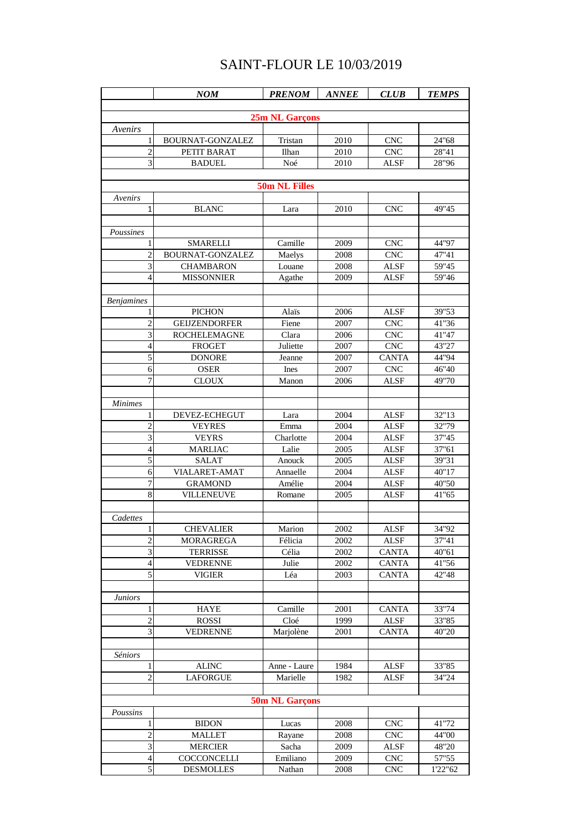## **SAINT-FLOUR LE 10/03/2019**

|                                   | <b>NOM</b>                            | <b>PRENOM</b>    | <b>ANNEE</b> | <b>CLUB</b>                  | <b>TEMPS</b>                |  |  |
|-----------------------------------|---------------------------------------|------------------|--------------|------------------------------|-----------------------------|--|--|
|                                   |                                       |                  |              |                              |                             |  |  |
| <b>25m NL Garçons</b>             |                                       |                  |              |                              |                             |  |  |
| Avenirs                           |                                       |                  |              |                              |                             |  |  |
| $\overline{c}$                    | BOURNAT-GONZALEZ<br>PETIT BARAT       | Tristan<br>Ilhan | 2010<br>2010 | <b>CNC</b><br><b>CNC</b>     | 24"68<br>28"41              |  |  |
| 3                                 | <b>BADUEL</b>                         | Noé              | 2010         | <b>ALSF</b>                  | 28"96                       |  |  |
|                                   |                                       |                  |              |                              |                             |  |  |
|                                   |                                       | 50m NL Filles    |              |                              |                             |  |  |
| Avenirs                           |                                       |                  |              |                              |                             |  |  |
| 1                                 | <b>BLANC</b>                          | Lara             | 2010         | <b>CNC</b>                   | 49"45                       |  |  |
|                                   |                                       |                  |              |                              |                             |  |  |
| Poussines                         |                                       |                  |              |                              |                             |  |  |
| 1                                 | <b>SMARELLI</b>                       | Camille          | 2009         | <b>CNC</b>                   | 44"97                       |  |  |
| 2                                 | BOURNAT-GONZALEZ                      | Maelys           | 2008         | <b>CNC</b>                   | 47"41                       |  |  |
| 3                                 | <b>CHAMBARON</b>                      | Louane           | 2008         | <b>ALSF</b>                  | 59"45                       |  |  |
| 4                                 | <b>MISSONNIER</b>                     | Agathe           | 2009         | <b>ALSF</b>                  | 59"46                       |  |  |
|                                   |                                       |                  |              |                              |                             |  |  |
| <b>Benjamines</b>                 |                                       |                  |              |                              |                             |  |  |
| 1                                 | <b>PICHON</b><br><b>GEIJZENDORFER</b> | Alaïs            | 2006         | <b>ALSF</b>                  | 39"53                       |  |  |
| $\overline{2}$<br>3               | <b>ROCHELEMAGNE</b>                   | Fiene<br>Clara   | 2007<br>2006 | <b>CNC</b><br><b>CNC</b>     | 41"36<br>$\overline{4}1"47$ |  |  |
| 4                                 | <b>FROGET</b>                         | Juliette         | 2007         | <b>CNC</b>                   | 43"27                       |  |  |
| $\overline{5}$                    | <b>DONORE</b>                         | Jeanne           | 2007         | <b>CANTA</b>                 | 44"94                       |  |  |
| 6                                 | <b>OSER</b>                           | Ines             | 2007         | <b>CNC</b>                   | 46"40                       |  |  |
| 7                                 | <b>CLOUX</b>                          | Manon            | 2006         | ALSF                         | 49"70                       |  |  |
|                                   |                                       |                  |              |                              |                             |  |  |
| <b>Minimes</b>                    |                                       |                  |              |                              |                             |  |  |
| 1                                 | DEVEZ-ECHEGUT                         | Lara             | 2004         | <b>ALSF</b>                  | 32"13                       |  |  |
| 2                                 | <b>VEYRES</b>                         | Emma             | 2004         | <b>ALSF</b>                  | 32"79                       |  |  |
| 3                                 | <b>VEYRS</b>                          | Charlotte        | 2004         | <b>ALSF</b>                  | 37"45                       |  |  |
| 4                                 | <b>MARLIAC</b>                        | Lalie            | 2005         | <b>ALSF</b>                  | 37"61                       |  |  |
| 5                                 | SALAT                                 | Anouck           | 2005         | <b>ALSF</b>                  | 39"31                       |  |  |
| 6                                 | VIALARET-AMAT                         | Annaelle         | 2004         | <b>ALSF</b>                  | 40"17                       |  |  |
| 7                                 | <b>GRAMOND</b>                        | Amélie           | 2004         | <b>ALSF</b>                  | 40"50                       |  |  |
| 8                                 | VILLENEUVE                            | Romane           | 2005         | <b>ALSF</b>                  | 41"65                       |  |  |
|                                   |                                       |                  |              |                              |                             |  |  |
| Cadettes                          |                                       |                  |              |                              |                             |  |  |
| $\mathbf{1}$<br>$\overline{2}$    | <b>CHEVALIER</b>                      | Marion           | 2002         | ${\bf ALSF}$                 | 34"92                       |  |  |
| 3                                 | MORAGREGA<br><b>TERRISSE</b>          | Félicia<br>Célia | 2002<br>2002 | <b>ALSF</b>                  | 37"41<br>40"61              |  |  |
| $\overline{4}$                    | <b>VEDRENNE</b>                       | Julie            | 2002         | <b>CANTA</b><br><b>CANTA</b> | 41"56                       |  |  |
| $\overline{5}$                    | <b>VIGIER</b>                         | Léa              | 2003         | <b>CANTA</b>                 | 42"48                       |  |  |
|                                   |                                       |                  |              |                              |                             |  |  |
| <b>Juniors</b>                    |                                       |                  |              |                              |                             |  |  |
|                                   | <b>HAYE</b>                           | Camille          | 2001         | <b>CANTA</b>                 | 33"74                       |  |  |
| $\sqrt{2}$                        | <b>ROSSI</b>                          | Cloé             | 1999         | <b>ALSF</b>                  | 33"85                       |  |  |
| 3                                 | <b>VEDRENNE</b>                       | Marjolène        | 2001         | <b>CANTA</b>                 | 40"20                       |  |  |
|                                   |                                       |                  |              |                              |                             |  |  |
| Séniors                           |                                       |                  |              |                              |                             |  |  |
|                                   | <b>ALINC</b>                          | Anne - Laure     | 1984         | ALSF                         | 33"85                       |  |  |
| $\overline{c}$                    | <b>LAFORGUE</b>                       | Marielle         | 1982         | ALSF                         | 34"24                       |  |  |
|                                   |                                       |                  |              |                              |                             |  |  |
| <b>50m NL Garçons</b><br>Poussins |                                       |                  |              |                              |                             |  |  |
|                                   | <b>BIDON</b>                          | Lucas            | 2008         | <b>CNC</b>                   | 41"72                       |  |  |
| $\overline{c}$                    | <b>MALLET</b>                         | Rayane           | 2008         | <b>CNC</b>                   | 44"00                       |  |  |
| 3                                 | <b>MERCIER</b>                        | Sacha            | 2009         | ALSF                         | 48"20                       |  |  |
| $\overline{4}$                    | COCCONCELLI                           | Emiliano         | 2009         | CNC                          | 57"55                       |  |  |
| $\mathbf{5}$                      | <b>DESMOLLES</b>                      | Nathan           | 2008         | <b>CNC</b>                   | 1'22"62                     |  |  |
|                                   |                                       |                  |              |                              |                             |  |  |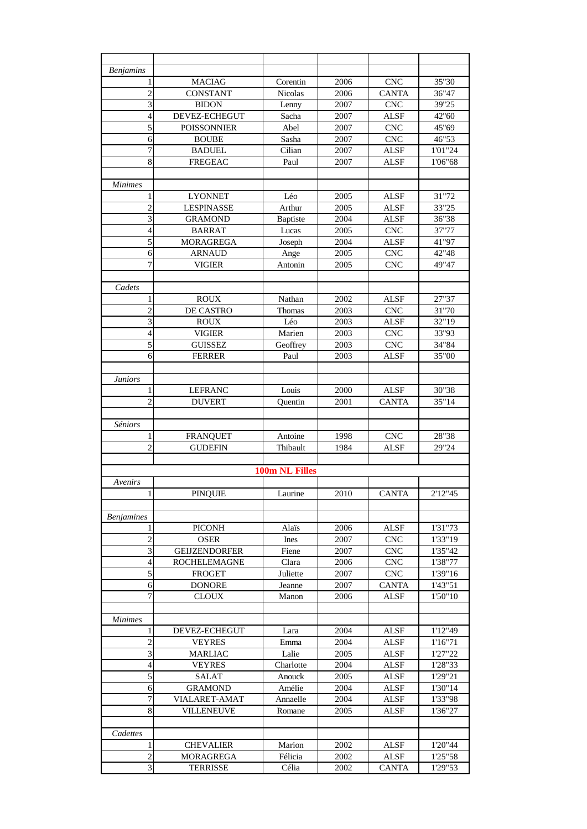| <b>Benjamins</b>         |                      |                 |      |              |                    |
|--------------------------|----------------------|-----------------|------|--------------|--------------------|
|                          | <b>MACIAG</b>        | Corentin        | 2006 | <b>CNC</b>   | 35"30              |
| $\overline{2}$           | <b>CONSTANT</b>      | Nicolas         | 2006 | <b>CANTA</b> | 36"47              |
| $\overline{3}$           | <b>BIDON</b>         | Lenny           | 2007 | <b>CNC</b>   | 39"25              |
| $\overline{4}$           | DEVEZ-ECHEGUT        | Sacha           | 2007 | <b>ALSF</b>  | 42"60              |
| 5                        | <b>POISSONNIER</b>   | Abel            | 2007 | <b>CNC</b>   | 45"69              |
| 6                        | <b>BOUBE</b>         | Sasha           | 2007 | <b>CNC</b>   | 46"53              |
| 7                        | <b>BADUEL</b>        | Cilian          | 2007 | <b>ALSF</b>  | 1'01"24            |
| 8                        | <b>FREGEAC</b>       | Paul            | 2007 | <b>ALSF</b>  | 1'06"68            |
|                          |                      |                 |      |              |                    |
| <b>Minimes</b>           |                      |                 |      |              |                    |
| 1                        | <b>LYONNET</b>       | Léo             | 2005 | <b>ALSF</b>  | 31"72              |
| $\overline{c}$           | <b>LESPINASSE</b>    | Arthur          | 2005 | <b>ALSF</b>  | 33"25              |
| $\overline{\mathbf{3}}$  | <b>GRAMOND</b>       | <b>Baptiste</b> | 2004 | ALSF         | 36"38              |
| $\overline{4}$           | <b>BARRAT</b>        | Lucas           | 2005 | <b>CNC</b>   | 37"77              |
| $\overline{5}$           | <b>MORAGREGA</b>     | Joseph          | 2004 | <b>ALSF</b>  | 41"97              |
| 6                        | <b>ARNAUD</b>        | Ange            | 2005 | <b>CNC</b>   | 42"48              |
| $\overline{7}$           | <b>VIGIER</b>        | Antonin         | 2005 | <b>CNC</b>   | 49"47              |
|                          |                      |                 |      |              |                    |
| Cadets                   |                      |                 |      |              |                    |
| 1                        | <b>ROUX</b>          | Nathan          | 2002 | <b>ALSF</b>  | 27"37              |
| $\overline{2}$           | DE CASTRO            | Thomas          | 2003 | <b>CNC</b>   | $\overline{3}1"70$ |
| 3                        | <b>ROUX</b>          | Léo             | 2003 | <b>ALSF</b>  | 32"19              |
| $\overline{4}$           | <b>VIGIER</b>        | Marien          | 2003 | <b>CNC</b>   | 33"93              |
| $\overline{5}$           | <b>GUISSEZ</b>       | Geoffrey        | 2003 | <b>CNC</b>   | 34"84              |
| 6                        | <b>FERRER</b>        | Paul            | 2003 | <b>ALSF</b>  | 35"00              |
|                          |                      |                 |      |              |                    |
| <b>Juniors</b>           |                      |                 |      |              |                    |
| 1                        | <b>LEFRANC</b>       | Louis           | 2000 | <b>ALSF</b>  | 30"38              |
| $\overline{\mathcal{L}}$ | <b>DUVERT</b>        | Quentin         | 2001 | <b>CANTA</b> | 35"14              |
|                          |                      |                 |      |              |                    |
| Séniors                  |                      |                 |      |              |                    |
| 1                        | <b>FRANQUET</b>      | Antoine         | 1998 | <b>CNC</b>   | 28"38              |
| $\overline{2}$           | <b>GUDEFIN</b>       | Thibault        | 1984 | ALSF         | 29"24              |
|                          |                      |                 |      |              |                    |
|                          |                      | 100m NL Filles  |      |              |                    |
| Avenirs                  |                      |                 |      |              |                    |
| $\mathbf{1}$             | <b>PINQUIE</b>       | Laurine         | 2010 | <b>CANTA</b> | 2'12"45            |
|                          |                      |                 |      |              |                    |
| <b>Benjamines</b>        |                      |                 |      |              |                    |
|                          | <b>PICONH</b>        | Alaïs           | 2006 | <b>ALSF</b>  | 1'31"73            |
| $\overline{c}$           | <b>OSER</b>          | Ines            | 2007 | <b>CNC</b>   | 1'33"19            |
| 3                        | <b>GEIJZENDORFER</b> | Fiene           | 2007 | <b>CNC</b>   | 1'35"42            |
| $\overline{\mathcal{A}}$ | <b>ROCHELEMAGNE</b>  | Clara           | 2006 | <b>CNC</b>   | 1'38"77            |
| 5                        | <b>FROGET</b>        | Juliette        | 2007 | <b>CNC</b>   | 1'39"16            |
| 6                        | <b>DONORE</b>        | Jeanne          | 2007 | <b>CANTA</b> | 1'43"51            |
| 7                        | <b>CLOUX</b>         | Manon           | 2006 | <b>ALSF</b>  | 1'50''10           |
|                          |                      |                 |      |              |                    |
| <b>Minimes</b>           |                      |                 |      |              |                    |
|                          | DEVEZ-ECHEGUT        | Lara            | 2004 | ALSF         | 1'12"49            |
| $\overline{c}$           | VEYRES               | Emma            | 2004 | <b>ALSF</b>  | 1'16"71            |
| 3                        | MARLIAC              | Lalie           | 2005 | <b>ALSF</b>  | 1'27"22            |
| $\overline{\mathbf{4}}$  | <b>VEYRES</b>        | Charlotte       | 2004 | <b>ALSF</b>  | 1'28"33            |
| 5                        | <b>SALAT</b>         | Anouck          | 2005 | <b>ALSF</b>  | 1'29"21            |
| 6                        | <b>GRAMOND</b>       | Amélie          | 2004 | <b>ALSF</b>  | 1'30"14            |
| $\boldsymbol{7}$         | <b>VIALARET-AMAT</b> | Annaelle        | 2004 | <b>ALSF</b>  | 1'33"98            |
| 8                        | VILLENEUVE           | Romane          | 2005 | <b>ALSF</b>  | 1'36"27            |
|                          |                      |                 |      |              |                    |
| Cadettes                 |                      |                 |      |              |                    |
| 1                        | <b>CHEVALIER</b>     | Marion          | 2002 | ALSF         | 1'20"44            |
| $\overline{c}$           | <b>MORAGREGA</b>     | Félicia         | 2002 | <b>ALSF</b>  | 1'25"58            |
| 3                        | <b>TERRISSE</b>      | Célia           | 2002 | <b>CANTA</b> | 1'29"53            |
|                          |                      |                 |      |              |                    |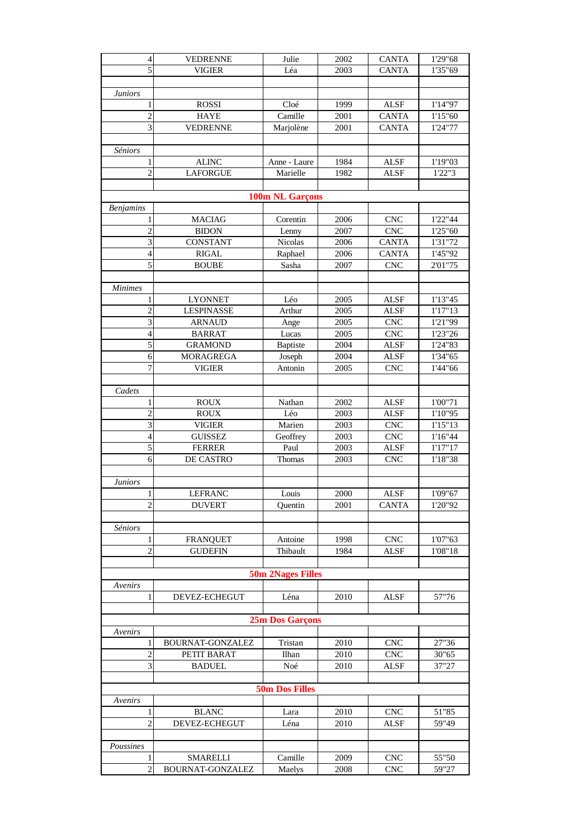| $\overline{\mathcal{A}}$ | <b>VEDRENNE</b>                   | Julie                    | 2002         | <b>CANTA</b>                | 1'29"68            |
|--------------------------|-----------------------------------|--------------------------|--------------|-----------------------------|--------------------|
| $\overline{5}$           | <b>VIGIER</b>                     | Léa                      | 2003         | <b>CANTA</b>                | 1'35"69            |
|                          |                                   |                          |              |                             |                    |
| <b>Juniors</b>           |                                   |                          |              |                             |                    |
| 1                        | <b>ROSSI</b>                      | Cloé                     | 1999         | <b>ALSF</b>                 | 1'14"97            |
| $\overline{2}$           | <b>HAYE</b>                       | Camille                  | 2001         | <b>CANTA</b>                | 1'15"60            |
| 3                        | <b>VEDRENNE</b>                   | Marjolène                | 2001         | <b>CANTA</b>                | 1'24"77            |
|                          |                                   |                          |              |                             |                    |
| Séniors                  |                                   |                          |              |                             |                    |
| 1                        | <b>ALINC</b>                      | Anne - Laure             | 1984         | <b>ALSF</b>                 | 1'19"03            |
| $\boldsymbol{2}$         | <b>LAFORGUE</b>                   | Marielle                 | 1982         | <b>ALSF</b>                 | 1'22"3             |
|                          |                                   |                          |              |                             |                    |
|                          |                                   | 100m NL Garçons          |              |                             |                    |
| <b>Benjamins</b>         |                                   |                          |              |                             |                    |
|                          | <b>MACIAG</b>                     | Corentin                 | 2006         | <b>CNC</b>                  | 1'22"44            |
| 2                        | <b>BIDON</b>                      | Lenny                    | 2007         | <b>CNC</b>                  | 1'25"60            |
| 3                        | <b>CONSTANT</b>                   | Nicolas                  | 2006         | <b>CANTA</b>                | 1'31"72            |
| $\overline{\mathbf{4}}$  | <b>RIGAL</b>                      | Raphael                  | 2006         | <b>CANTA</b>                | 1'45"92            |
| 5                        | <b>BOUBE</b>                      | Sasha                    | 2007         | CNC                         | 2'01"75            |
|                          |                                   |                          |              |                             |                    |
| <i>Minimes</i>           |                                   |                          |              |                             |                    |
| 1                        | <b>LYONNET</b>                    | Léo                      | 2005         | <b>ALSF</b>                 | 1'13"45            |
| $\overline{2}$           | <b>LESPINASSE</b>                 | Arthur                   | 2005         | <b>ALSF</b>                 | 1'17"13            |
| 3                        | <b>ARNAUD</b>                     | Ange                     | 2005         | CNC                         | 1'21"99            |
| $\overline{4}$           | <b>BARRAT</b>                     | Lucas                    | 2005         | <b>CNC</b>                  | 1'23"26            |
| $\overline{5}$           | <b>GRAMOND</b>                    | Baptiste                 | 2004         | <b>ALSF</b>                 | 1'24"83            |
| 6                        | <b>MORAGREGA</b>                  | Joseph                   | 2004         | <b>ALSF</b>                 | 1'34"65            |
| $\overline{7}$           | VIGIER                            | Antonin                  | 2005         | <b>CNC</b>                  | 1'44"66            |
|                          |                                   |                          |              |                             |                    |
| Cadets                   |                                   |                          |              |                             |                    |
|                          | <b>ROUX</b>                       | Nathan                   | 2002         | <b>ALSF</b>                 | 1'00"71            |
| $\overline{c}$           | <b>ROUX</b>                       | Léo                      | 2003         | <b>ALSF</b>                 | 1'10"95            |
| $\overline{3}$           | <b>VIGIER</b>                     | Marien                   | 2003         | <b>CNC</b>                  | 1'15"13            |
| 4                        | <b>GUISSEZ</b>                    | Geoffrey                 | 2003         | CNC                         | 1'16"44            |
| 5                        | <b>FERRER</b>                     | Paul                     | 2003         | <b>ALSF</b>                 | 1'17"17            |
| $\mathbf{6}$             | DE CASTRO                         | Thomas                   | 2003         | <b>CNC</b>                  | 1'18"38            |
|                          |                                   |                          |              |                             |                    |
| <b>Juniors</b>           | <b>LEFRANC</b>                    |                          |              | ALSF                        | 1'09"67            |
| 1<br>$\overline{c}$      |                                   | Louis                    | 2000         |                             |                    |
|                          | <b>DUVERT</b>                     | Quentin                  | 2001         | <b>CANTA</b>                | 1'20"92            |
|                          |                                   |                          |              |                             |                    |
| Séniors                  |                                   |                          |              |                             |                    |
| 1<br>$\boldsymbol{2}$    | <b>FRANQUET</b><br><b>GUDEFIN</b> | Antoine<br>Thibault      | 1998<br>1984 | <b>CNC</b><br><b>ALSF</b>   | 1'07"63<br>1'08"18 |
|                          |                                   |                          |              |                             |                    |
|                          |                                   | <b>50m 2Nages Filles</b> |              |                             |                    |
| Avenirs                  |                                   |                          |              |                             |                    |
|                          | DEVEZ-ECHEGUT                     | Léna                     | 2010         | <b>ALSF</b>                 | 57"76              |
|                          |                                   |                          |              |                             |                    |
|                          |                                   | <b>25m Dos Garçons</b>   |              |                             |                    |
| Avenirs                  |                                   |                          |              |                             |                    |
| 1                        | BOURNAT-GONZALEZ                  | Tristan                  | 2010         | <b>CNC</b>                  | 27"36              |
| $\overline{c}$           | PETIT BARAT                       | Ilhan                    | 2010         | <b>CNC</b>                  | 30"65              |
| $\overline{\mathbf{3}}$  | <b>BADUEL</b>                     | Noé                      | 2010         | <b>ALSF</b>                 | 37"27              |
|                          |                                   |                          |              |                             |                    |
|                          |                                   | <b>50m Dos Filles</b>    |              |                             |                    |
| Avenirs                  |                                   |                          |              |                             |                    |
|                          | <b>BLANC</b>                      | Lara                     | 2010         | $\ensuremath{\mathrm{CNC}}$ | 51"85              |
| 2                        | DEVEZ-ECHEGUT                     | Léna                     | 2010         | <b>ALSF</b>                 | 59"49              |
|                          |                                   |                          |              |                             |                    |
| Poussines                |                                   |                          |              |                             |                    |
|                          | <b>SMARELLI</b>                   | Camille                  | 2009         | <b>CNC</b>                  | 55"50              |
| $\mathbf{2}$             | BOURNAT-GONZALEZ                  |                          | 2008         | <b>CNC</b>                  | 59"27              |
|                          |                                   | Maelys                   |              |                             |                    |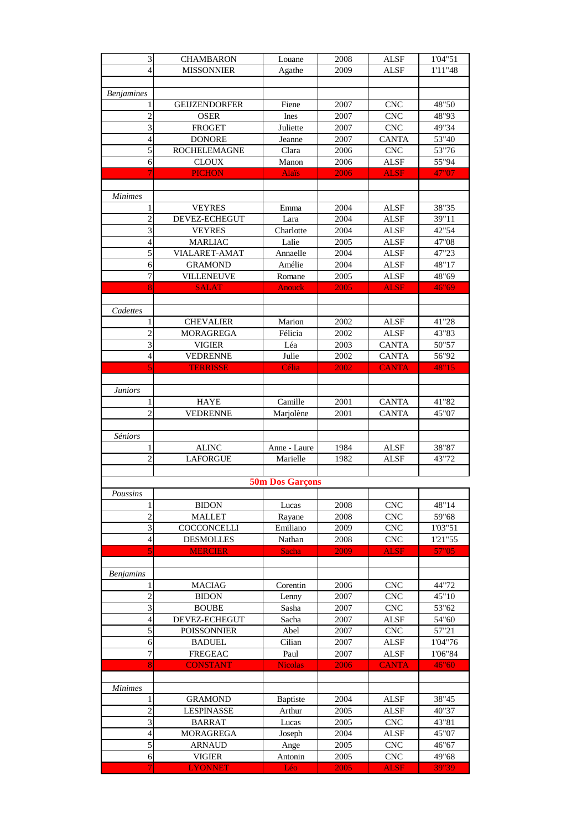| 3                        | <b>CHAMBARON</b>                | Louane                 | 2008         | <b>ALSF</b>                | 1'04"51            |
|--------------------------|---------------------------------|------------------------|--------------|----------------------------|--------------------|
| 4                        | <b>MISSONNIER</b>               | Agathe                 | 2009         | <b>ALSF</b>                | 1'11"48            |
|                          |                                 |                        |              |                            |                    |
| <b>Benjamines</b>        |                                 |                        |              |                            |                    |
| 1                        | <b>GEIJZENDORFER</b>            | Fiene                  | 2007         | <b>CNC</b>                 | 48"50              |
| $\overline{c}$           | <b>OSER</b>                     | Ines                   | 2007         | <b>CNC</b>                 | 48"93              |
| $\overline{\mathbf{3}}$  | <b>FROGET</b>                   | Juliette               | 2007         | <b>CNC</b>                 | 49"34              |
| $\overline{\mathcal{L}}$ | <b>DONORE</b>                   | Jeanne                 | 2007         | <b>CANTA</b>               | 53"40              |
| 5                        | <b>ROCHELEMAGNE</b>             | Clara                  | 2006         | <b>CNC</b>                 | 53"76              |
| 6                        | <b>CLOUX</b>                    | Manon                  | 2006         | <b>ALSF</b>                | 55"94              |
|                          | <b>PICHON</b>                   | <b>Alaïs</b>           | 2006         | <b>ALSF</b>                | 47"07              |
|                          |                                 |                        |              |                            |                    |
| <b>Minimes</b>           |                                 |                        |              |                            |                    |
| 1                        | <b>VEYRES</b>                   | Emma                   | 2004         | <b>ALSF</b>                | 38"35              |
| $\overline{c}$           | DEVEZ-ECHEGUT                   | Lara                   | 2004         | <b>ALSF</b>                | 39"11              |
| 3                        | <b>VEYRES</b>                   | Charlotte              | 2004         | <b>ALSF</b>                | 42"54              |
| $\overline{\mathbf{4}}$  | <b>MARLIAC</b>                  | Lalie                  | 2005         | <b>ALSF</b>                | 47"08              |
| 5                        | VIALARET-AMAT                   | Annaelle               | 2004         | <b>ALSF</b>                | 47"23              |
| 6                        | <b>GRAMOND</b>                  | Amélie                 | 2004         | <b>ALSF</b>                | 48"17              |
| $\boldsymbol{7}$         | <b>VILLENEUVE</b>               | Romane                 | 2005         | <b>ALSF</b>                | 48"69              |
| 8                        | <b>SALAT</b>                    | <b>Anouck</b>          | 2005         | <b>ALSF</b>                | 46"69              |
|                          |                                 |                        |              |                            |                    |
| Cadettes                 |                                 |                        |              |                            |                    |
| 1                        | <b>CHEVALIER</b>                | Marion                 | 2002         | <b>ALSF</b>                | 41"28              |
| $\overline{c}$           | <b>MORAGREGA</b>                | Félicia                | 2002         | <b>ALSF</b>                | 43"83              |
| 3                        | <b>VIGIER</b>                   | Léa                    | 2003         | <b>CANTA</b>               | 50"57              |
| $\overline{4}$           | <b>VEDRENNE</b>                 | Julie                  | 2002         | <b>CANTA</b>               | 56"92              |
| 5                        | <b>TERRISSE</b>                 | Célia                  | 2002         | <b>CANTA</b>               | 48"15              |
|                          |                                 |                        |              |                            |                    |
| Juniors                  |                                 |                        |              |                            |                    |
| 1                        | <b>HAYE</b>                     | Camille                | 2001         | <b>CANTA</b>               | 41"82              |
| $\overline{2}$           | <b>VEDRENNE</b>                 | Marjolène              | 2001         | <b>CANTA</b>               | 45"07              |
|                          |                                 |                        |              |                            |                    |
| Séniors                  |                                 |                        |              |                            |                    |
| 1                        | <b>ALINC</b>                    | Anne - Laure           | 1984         | <b>ALSF</b>                | 38"87              |
| $\overline{2}$           | <b>LAFORGUE</b>                 | Marielle               | 1982         | <b>ALSF</b>                | 43"72              |
|                          |                                 |                        |              |                            |                    |
|                          |                                 | <b>50m Dos Garçons</b> |              |                            |                    |
| Poussins                 |                                 |                        |              |                            |                    |
| 1                        | <b>BIDON</b>                    | Lucas                  | 2008         | <b>CNC</b>                 | 48"14              |
| $\overline{c}$           | <b>MALLET</b>                   | Rayane                 | 2008         | CNC                        | 59"68              |
| 3                        | <b>COCCONCELLI</b>              | Emiliano               | 2009         | <b>CNC</b>                 | 1'03"51            |
| $\overline{4}$           | <b>DESMOLLES</b>                | Nathan                 | 2008         | <b>CNC</b>                 | 1'21"55            |
| 5                        | <b>MERCIER</b>                  | Sacha                  | 2009         | <b>ALSF</b>                | 57"05              |
|                          |                                 |                        |              |                            |                    |
| <b>Benjamins</b>         |                                 |                        |              |                            |                    |
| 1                        | <b>MACIAG</b>                   | Corentin               | 2006<br>2007 | <b>CNC</b>                 | 44"72              |
| $\overline{c}$<br>3      | <b>BIDON</b>                    | Lenny                  |              | <b>CNC</b>                 | 45"10<br>53"62     |
|                          | <b>BOUBE</b>                    | Sasha                  | 2007         | <b>CNC</b>                 |                    |
| $\overline{4}$           | DEVEZ-ECHEGUT                   | Sacha                  | 2007         | ALSF                       | 54"60              |
| 5<br>6                   | <b>POISSONNIER</b>              | Abel                   | 2007<br>2007 | <b>CNC</b>                 | 57"21              |
| $\overline{7}$           | <b>BADUEL</b><br><b>FREGEAC</b> | Cilian<br>Paul         | 2007         | <b>ALSF</b><br><b>ALSF</b> | 1'04"76<br>1'06"84 |
| 8                        | <b>CONSTANT</b>                 |                        |              | <b>CANTA</b>               | 46"60              |
|                          |                                 | <b>Nicolas</b>         | 2006         |                            |                    |
| <b>Minimes</b>           |                                 |                        |              |                            |                    |
|                          | <b>GRAMOND</b>                  | Baptiste               | 2004         | <b>ALSF</b>                | 38"45              |
| 2                        | <b>LESPINASSE</b>               | Arthur                 | 2005         | ALSF                       | 40"37              |
| 3                        | BARRAT                          | Lucas                  | 2005         | <b>CNC</b>                 | 43"81              |
| $\overline{4}$           | <b>MORAGREGA</b>                | Joseph                 | 2004         | <b>ALSF</b>                | 45"07              |
| 5                        | <b>ARNAUD</b>                   | Ange                   | 2005         | <b>CNC</b>                 | 46"67              |
| 6                        | <b>VIGIER</b>                   | Antonin                | 2005         | <b>CNC</b>                 | 49"68              |
| 7                        | <b>LYONNET</b>                  | Léo                    | 2005         | <b>ALSF</b>                | 39"39              |
|                          |                                 |                        |              |                            |                    |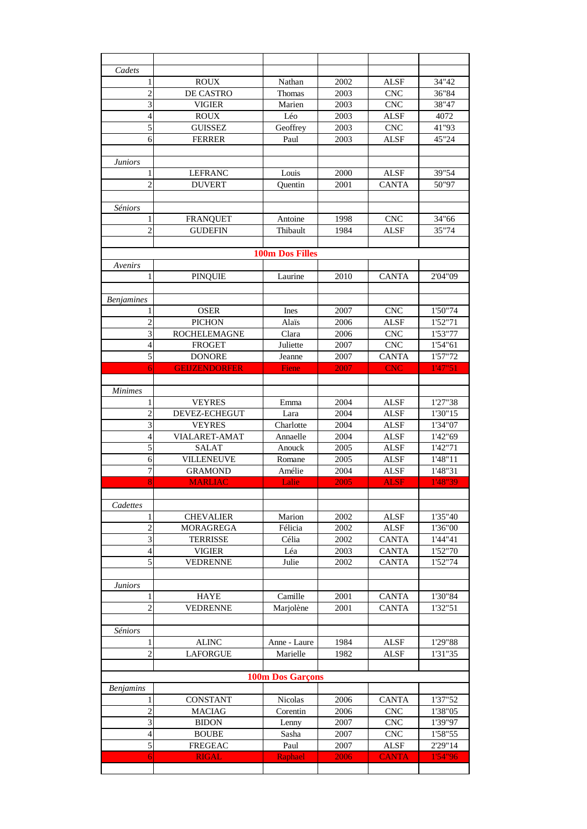| Cadets                  |                      |                         |      |              |         |
|-------------------------|----------------------|-------------------------|------|--------------|---------|
| 1                       | <b>ROUX</b>          | Nathan                  | 2002 | <b>ALSF</b>  | 34"42   |
| $\overline{2}$          | DE CASTRO            | Thomas                  | 2003 | <b>CNC</b>   | 36"84   |
| $\overline{\mathbf{3}}$ | <b>VIGIER</b>        | Marien                  | 2003 | <b>CNC</b>   | 38"47   |
| $\overline{4}$          | <b>ROUX</b>          | Léo                     | 2003 | <b>ALSF</b>  | 4072    |
| 5                       | <b>GUISSEZ</b>       | Geoffrey                | 2003 | <b>CNC</b>   | 41"93   |
| 6                       | <b>FERRER</b>        | Paul                    | 2003 | <b>ALSF</b>  | 45"24   |
|                         |                      |                         |      |              |         |
|                         |                      |                         |      |              |         |
| <b>Juniors</b>          |                      |                         | 2000 |              |         |
| $\mathbf{1}$            | <b>LEFRANC</b>       | Louis                   |      | <b>ALSF</b>  | 39"54   |
| $\overline{c}$          | <b>DUVERT</b>        | Ouentin                 | 2001 | <b>CANTA</b> | 50"97   |
|                         |                      |                         |      |              |         |
| Séniors                 |                      |                         |      |              |         |
| 1                       | <b>FRANQUET</b>      | Antoine                 | 1998 | <b>CNC</b>   | 34"66   |
| $\overline{2}$          | <b>GUDEFIN</b>       | Thibault                | 1984 | <b>ALSF</b>  | 35"74   |
|                         |                      |                         |      |              |         |
|                         |                      | <b>100m Dos Filles</b>  |      |              |         |
| Avenirs                 |                      |                         |      |              |         |
| $\mathbf{1}$            | <b>PINQUIE</b>       | Laurine                 | 2010 | <b>CANTA</b> | 2'04"09 |
|                         |                      |                         |      |              |         |
| <i>Benjamines</i>       |                      |                         |      |              |         |
| 1                       | <b>OSER</b>          | Ines                    | 2007 | <b>CNC</b>   | 1'50"74 |
| $\overline{2}$          | <b>PICHON</b>        | Alaïs                   | 2006 | <b>ALSF</b>  | 1'52"71 |
| $\overline{\mathbf{3}}$ | <b>ROCHELEMAGNE</b>  | Clara                   | 2006 | <b>CNC</b>   | 1'53"77 |
| $\overline{4}$          | <b>FROGET</b>        | Juliette                | 2007 | <b>CNC</b>   | 1'54"61 |
| $\overline{5}$          |                      |                         |      |              |         |
|                         | <b>DONORE</b>        | Jeanne                  | 2007 | <b>CANTA</b> | 1'57"72 |
| 6 <sup>1</sup>          | <b>GEIJZENDORFER</b> | Fiene                   | 2007 | <b>CNC</b>   | 1'47"51 |
|                         |                      |                         |      |              |         |
| <b>Minimes</b>          |                      |                         |      |              |         |
| 1                       | <b>VEYRES</b>        | Emma                    | 2004 | <b>ALSF</b>  | 1'27"38 |
| $\overline{c}$          | DEVEZ-ECHEGUT        | Lara                    | 2004 | <b>ALSF</b>  | 1'30"15 |
| 3                       | <b>VEYRES</b>        | Charlotte               | 2004 | <b>ALSF</b>  | 1'34"07 |
| $\overline{4}$          | VIALARET-AMAT        | Annaelle                | 2004 | <b>ALSF</b>  | 1'42"69 |
| $\overline{5}$          | <b>SALAT</b>         | Anouck                  | 2005 | <b>ALSF</b>  | 1'42"71 |
| 6                       | <b>VILLENEUVE</b>    | Romane                  | 2005 | <b>ALSF</b>  | 1'48"11 |
| $\overline{7}$          | <b>GRAMOND</b>       | Amélie                  | 2004 | ALSF         | 1'48"31 |
| 8                       | <b>MARLIAC</b>       | Lalie                   | 2005 | <b>ALSF</b>  | 1'48"39 |
|                         |                      |                         |      |              |         |
| Cadettes                |                      |                         |      |              |         |
| 1                       | <b>CHEVALIER</b>     | Marion                  | 2002 | <b>ALSF</b>  | 1'35"40 |
| $\overline{c}$          | <b>MORAGREGA</b>     | Félicia                 | 2002 | <b>ALSF</b>  | 1'36"00 |
| $\overline{3}$          | <b>TERRISSE</b>      | Célia                   | 2002 | <b>CANTA</b> | 1'44"41 |
| $\overline{\mathbf{4}}$ | <b>VIGIER</b>        | Léa                     | 2003 | <b>CANTA</b> | 1'52"70 |
| $\overline{5}$          | VEDRENNE             | Julie                   | 2002 | <b>CANTA</b> | 1'52"74 |
|                         |                      |                         |      |              |         |
| <b>Juniors</b>          |                      |                         |      |              |         |
| 1                       | <b>HAYE</b>          | Camille                 | 2001 | <b>CANTA</b> | 1'30"84 |
| $\overline{c}$          | <b>VEDRENNE</b>      | Marjolène               | 2001 | <b>CANTA</b> | 1'32"51 |
|                         |                      |                         |      |              |         |
| Séniors                 |                      |                         |      |              |         |
|                         |                      |                         | 1984 | <b>ALSF</b>  | 1'29"88 |
| 1                       | <b>ALINC</b>         | Anne - Laure            |      |              |         |
| $\overline{c}$          | <b>LAFORGUE</b>      | Marielle                | 1982 | ALSF         | 1'31"35 |
|                         |                      |                         |      |              |         |
|                         |                      | <b>100m Dos Garçons</b> |      |              |         |
| <b>Benjamins</b>        |                      |                         |      |              |         |
| $\mathbf{1}$            | <b>CONSTANT</b>      | Nicolas                 | 2006 | <b>CANTA</b> | 1'37"52 |
| $\overline{c}$          | <b>MACIAG</b>        | Corentin                | 2006 | <b>CNC</b>   | 1'38"05 |
| $\overline{3}$          | <b>BIDON</b>         | Lenny                   | 2007 | <b>CNC</b>   | 1'39"97 |
| $\overline{\mathbf{4}}$ | <b>BOUBE</b>         | Sasha                   | 2007 | <b>CNC</b>   | 1'58"55 |
| $\overline{5}$          | <b>FREGEAC</b>       | Paul                    | 2007 | <b>ALSF</b>  | 2'29"14 |
| 6                       | <b>RIGAL</b>         | Raphael                 | 2006 | <b>CANTA</b> | 1'54"96 |
|                         |                      |                         |      |              |         |
|                         |                      |                         |      |              |         |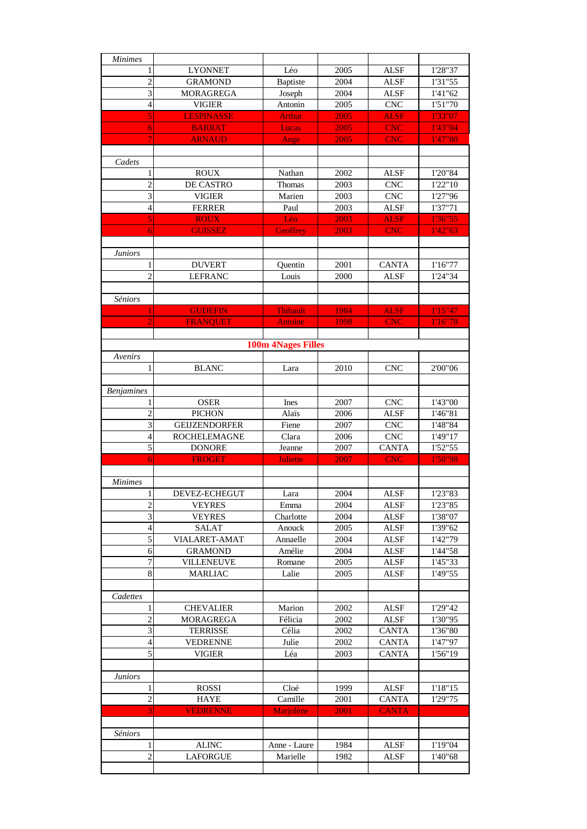| <b>Minimes</b>          |                      |                           |      |              |          |
|-------------------------|----------------------|---------------------------|------|--------------|----------|
| 1                       | <b>LYONNET</b>       | Léo                       | 2005 | <b>ALSF</b>  | 1'28"37  |
| $\overline{2}$          | <b>GRAMOND</b>       | Baptiste                  | 2004 | <b>ALSF</b>  | 1'31"55  |
| $\overline{3}$          | <b>MORAGREGA</b>     | Joseph                    | 2004 | <b>ALSF</b>  | 1'41"62  |
| $\overline{4}$          | <b>VIGIER</b>        | Antonin                   | 2005 | <b>CNC</b>   | 1'51"70  |
| 5.                      | <b>LESPINASSE</b>    | <b>Arthur</b>             | 2005 | <b>ALSF</b>  | 1'33"07  |
| $\vert 6 \vert$         | <b>BARRAT</b>        | Lucas                     | 2005 | CNC          | 1'43"04  |
|                         | <b>ARNAUD</b>        | Ange                      | 2005 | <b>CNC</b>   | 1'47''80 |
|                         |                      |                           |      |              |          |
| Cadets                  |                      |                           |      |              |          |
| 1                       | <b>ROUX</b>          | Nathan                    | 2002 | <b>ALSF</b>  | 1'20"84  |
| $\overline{2}$          | DE CASTRO            | <b>Thomas</b>             | 2003 | <b>CNC</b>   | 1'22"10  |
| 3                       | <b>VIGIER</b>        | Marien                    | 2003 | <b>CNC</b>   |          |
| $\overline{4}$          |                      |                           |      |              | 1'27"96  |
|                         | <b>FERRER</b>        | Paul                      | 2003 | <b>ALSF</b>  | 1'37"71  |
| 5                       | <b>ROUX</b>          | Léo                       | 2003 | <b>ALSF</b>  | 1'36"55  |
| 6.                      | <b>GUISSEZ</b>       | <b>Geoffrey</b>           | 2003 | <b>CNC</b>   | 1'42"63  |
|                         |                      |                           |      |              |          |
| <b>Juniors</b>          |                      |                           |      |              |          |
| 1                       | <b>DUVERT</b>        | Quentin                   | 2001 | <b>CANTA</b> | 1'16"77  |
| $\overline{2}$          | <b>LEFRANC</b>       | Louis                     | 2000 | <b>ALSF</b>  | 1'24"34  |
|                         |                      |                           |      |              |          |
| Séniors                 |                      |                           |      |              |          |
|                         | <b>GUDEFIN</b>       | <b>Thibault</b>           | 1984 | <b>ALSF</b>  | 1'15"47  |
| $\overline{2}$          | <b>FRANQUET</b>      | <b>Antoine</b>            | 1998 | <b>CNC</b>   | 1'16"78  |
|                         |                      |                           |      |              |          |
|                         |                      | <b>100m 4Nages Filles</b> |      |              |          |
| Avenirs                 |                      |                           |      |              |          |
| 1                       | <b>BLANC</b>         | Lara                      | 2010 | <b>CNC</b>   | 2'00"06  |
|                         |                      |                           |      |              |          |
| <b>Benjamines</b>       |                      |                           |      |              |          |
| 1                       | <b>OSER</b>          | Ines                      | 2007 | <b>CNC</b>   | 1'43"00  |
| $\overline{2}$          | <b>PICHON</b>        | Alaïs                     | 2006 | <b>ALSF</b>  | 1'46"81  |
| $\overline{3}$          | <b>GEIJZENDORFER</b> | Fiene                     | 2007 | <b>CNC</b>   | 1'48"84  |
| $\overline{4}$          | <b>ROCHELEMAGNE</b>  | Clara                     | 2006 | <b>CNC</b>   | 1'49"17  |
| 5                       | <b>DONORE</b>        | Jeanne                    | 2007 | <b>CANTA</b> | 1'52"55  |
| $\overline{6}$          | <b>FROGET</b>        | <b>Juliette</b>           | 2007 | <b>CNC</b>   | 1'50"98  |
|                         |                      |                           |      |              |          |
| <b>Minimes</b>          |                      |                           |      |              |          |
|                         |                      |                           |      |              |          |
| $\,1$                   | DEVEZ-ECHEGUT        | Lara                      | 2004 | ALSF         | 1'23"83  |
| $\overline{2}$          | <b>VEYRES</b>        | Emma                      | 2004 | <b>ALSF</b>  | 1'23"85  |
| 3                       | <b>VEYRES</b>        | Charlotte                 | 2004 | <b>ALSF</b>  | 1'38"07  |
| $\overline{4}$          | <b>SALAT</b>         | Anouck                    | 2005 | <b>ALSF</b>  | 1'39"62  |
| 5                       | <b>VIALARET-AMAT</b> | Annaelle                  | 2004 | <b>ALSF</b>  | 1'42"79  |
| 6                       | <b>GRAMOND</b>       | Amélie                    | 2004 | <b>ALSF</b>  | 1'44"58  |
| $\boldsymbol{7}$        | VILLENEUVE           | Romane                    | 2005 | <b>ALSF</b>  | 1'45"33  |
| $\bf 8$                 | <b>MARLIAC</b>       | Lalie                     | 2005 | <b>ALSF</b>  | 1'49"55  |
|                         |                      |                           |      |              |          |
| Cadettes                |                      |                           |      |              |          |
| 1                       | <b>CHEVALIER</b>     | Marion                    | 2002 | <b>ALSF</b>  | 1'29"42  |
| $\overline{c}$          | MORAGREGA            | Félicia                   | 2002 | ALSF         | 1'30"95  |
| $\overline{3}$          | TERRISSE             | Célia                     | 2002 | <b>CANTA</b> | 1'36"80  |
| $\overline{4}$          | VEDRENNE             | Julie                     | 2002 | <b>CANTA</b> | 1'47"97  |
| 5                       | VIGIER               | Léa                       | 2003 | <b>CANTA</b> | 1'56"19  |
|                         |                      |                           |      |              |          |
| <b>Juniors</b>          |                      |                           |      |              |          |
| 1                       | <b>ROSSI</b>         | Cloé                      | 1999 | <b>ALSF</b>  | 1'18"15  |
| $\overline{\mathbf{c}}$ | <b>HAYE</b>          | Camille                   | 2001 | <b>CANTA</b> | 1'29"75  |
| 3.                      | <b>VEDRENNE</b>      | Marjolène                 | 2001 | <b>CANTA</b> |          |
|                         |                      |                           |      |              |          |
| Séniors                 |                      |                           |      |              |          |
| 1                       | <b>ALINC</b>         | Anne - Laure              | 1984 | ALSF         | 1'19"04  |
| $\overline{c}$          | LAFORGUE             | Marielle                  | 1982 |              | 1'40"68  |
|                         |                      |                           |      | ALSF         |          |
|                         |                      |                           |      |              |          |